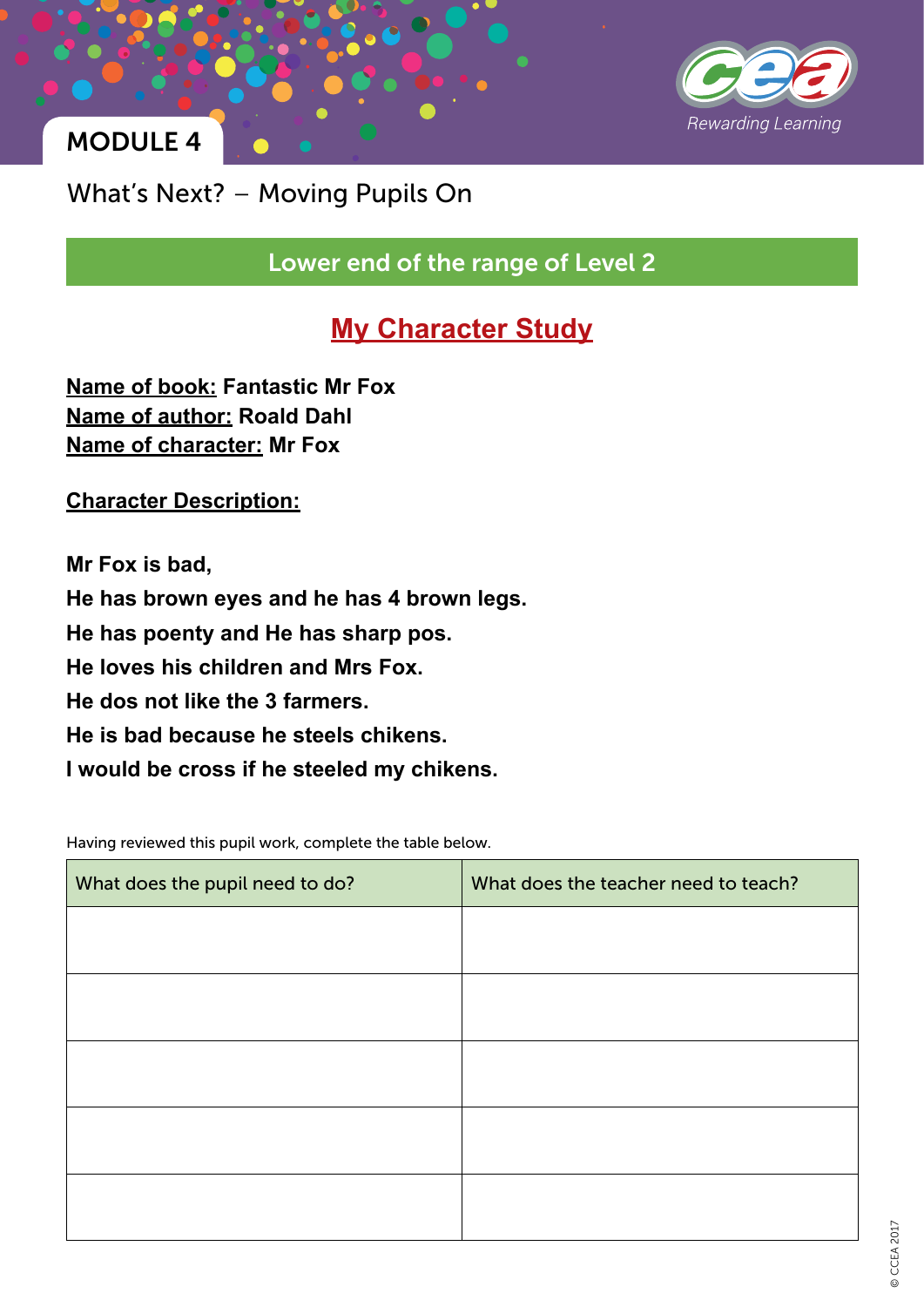

# MODULE 4

What's Next? – Moving Pupils On

Lower end of the range of Level 2

## **My Character Study**

**Name of book: Fantastic Mr Fox Name of author: Roald Dahl Name of character: Mr Fox**

**Character Description:**

**Mr Fox is bad, He has brown eyes and he has 4 brown legs. He has poenty and He has sharp pos. He loves his children and Mrs Fox. He dos not like the 3 farmers. He is bad because he steels chikens. I would be cross if he steeled my chikens.**

Having reviewed this pupil work, complete the table below.

| What does the pupil need to do? | What does the teacher need to teach? |
|---------------------------------|--------------------------------------|
|                                 |                                      |
|                                 |                                      |
|                                 |                                      |
|                                 |                                      |
|                                 |                                      |
|                                 |                                      |
|                                 |                                      |
|                                 |                                      |